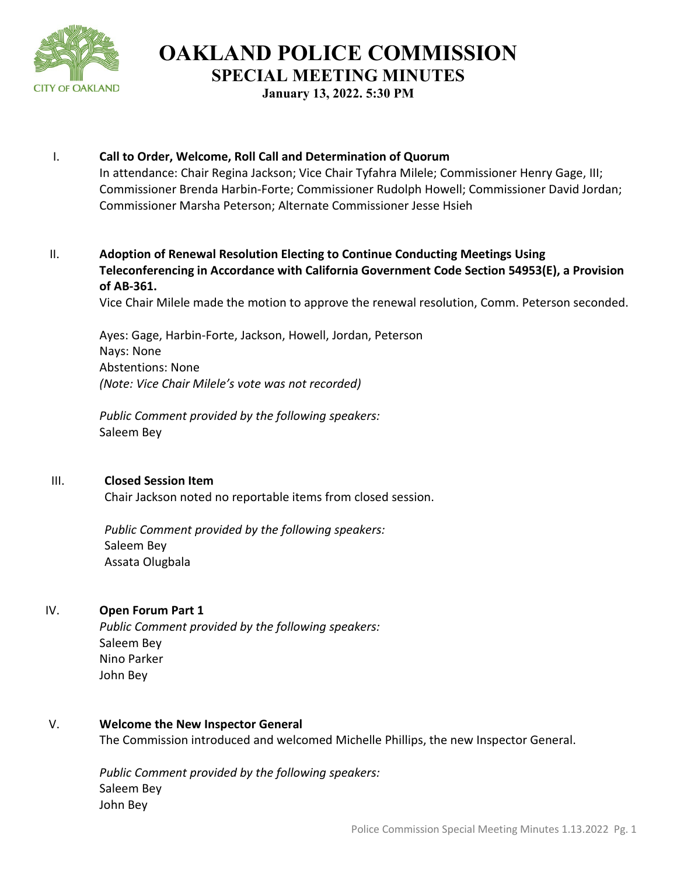

**OAKLAND POLICE COMMISSION SPECIAL MEETING MINUTES**

**January 13, 2022. 5:30 PM** 

# I. **Call to Order, Welcome, Roll Call and Determination of Quorum** In attendance: Chair Regina Jackson; Vice Chair Tyfahra Milele; Commissioner Henry Gage, III; Commissioner Brenda Harbin-Forte; Commissioner Rudolph Howell; Commissioner David Jordan; Commissioner Marsha Peterson; Alternate Commissioner Jesse Hsieh

# II. **Adoption of Renewal Resolution Electing to Continue Conducting Meetings Using Teleconferencing in Accordance with California Government Code Section 54953(E), a Provision of AB-361.**

Vice Chair Milele made the motion to approve the renewal resolution, Comm. Peterson seconded.

Ayes: Gage, Harbin-Forte, Jackson, Howell, Jordan, Peterson Nays: None Abstentions: None *(Note: Vice Chair Milele's vote was not recorded)*

*Public Comment provided by the following speakers:*  Saleem Bey

#### III. **Closed Session Item**

Chair Jackson noted no reportable items from closed session.

*Public Comment provided by the following speakers:*  Saleem Bey Assata Olugbala

## IV. **Open Forum Part 1**

*Public Comment provided by the following speakers:*  Saleem Bey Nino Parker John Bey

#### V. **Welcome the New Inspector General**

The Commission introduced and welcomed Michelle Phillips, the new Inspector General.

*Public Comment provided by the following speakers:*  Saleem Bey John Bey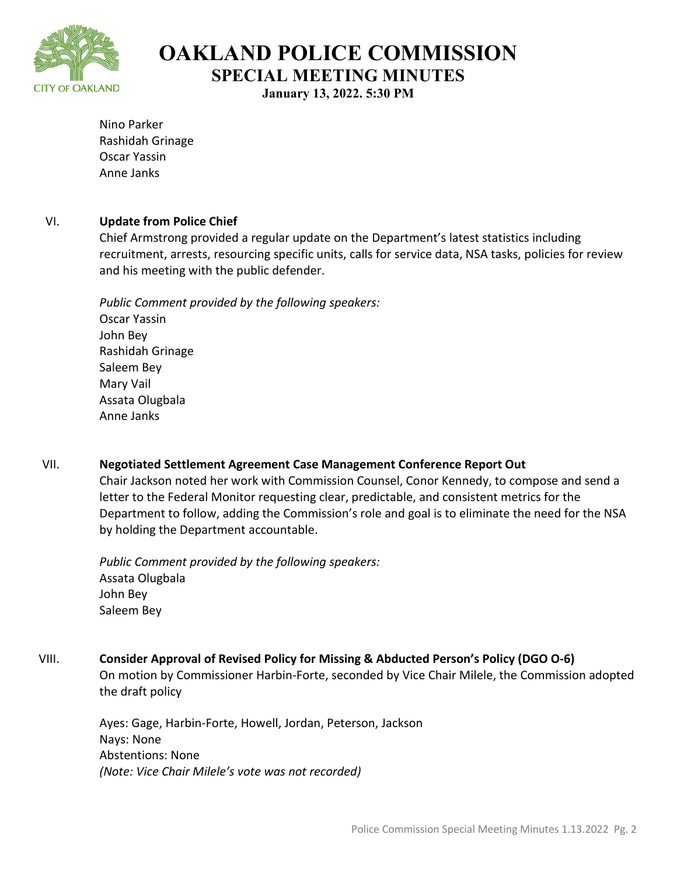

**OAKLAND POLICE COMMISSION SPECIAL MEETING MINUTES**

**January 13, 2022. 5:30 PM**

Nino Parker Rashidah Grinage Oscar Yassin Anne Janks

## VI. **Update from Police Chief**

Chief Armstrong provided a regular update on the Department's latest statistics including recruitment, arrests, resourcing specific units, calls for service data, NSA tasks, policies for review and his meeting with the public defender.

*Public Comment provided by the following speakers:*  Oscar Yassin John Bey Rashidah Grinage Saleem Bey Mary Vail Assata Olugbala Anne Janks

VII. **Negotiated Settlement Agreement Case Management Conference Report Out** Chair Jackson noted her work with Commission Counsel, Conor Kennedy, to compose and send a letter to the Federal Monitor requesting clear, predictable, and consistent metrics for the Department to follow, adding the Commission's role and goal is to eliminate the need for the NSA by holding the Department accountable.

*Public Comment provided by the following speakers:*  Assata Olugbala John Bey Saleem Bey

## VIII. **Consider Approval of Revised Policy for Missing & Abducted Person's Policy (DGO O-6)**

On motion by Commissioner Harbin-Forte, seconded by Vice Chair Milele, the Commission adopted the draft policy

Ayes: Gage, Harbin-Forte, Howell, Jordan, Peterson, Jackson Nays: None Abstentions: None *(Note: Vice Chair Milele's vote was not recorded)*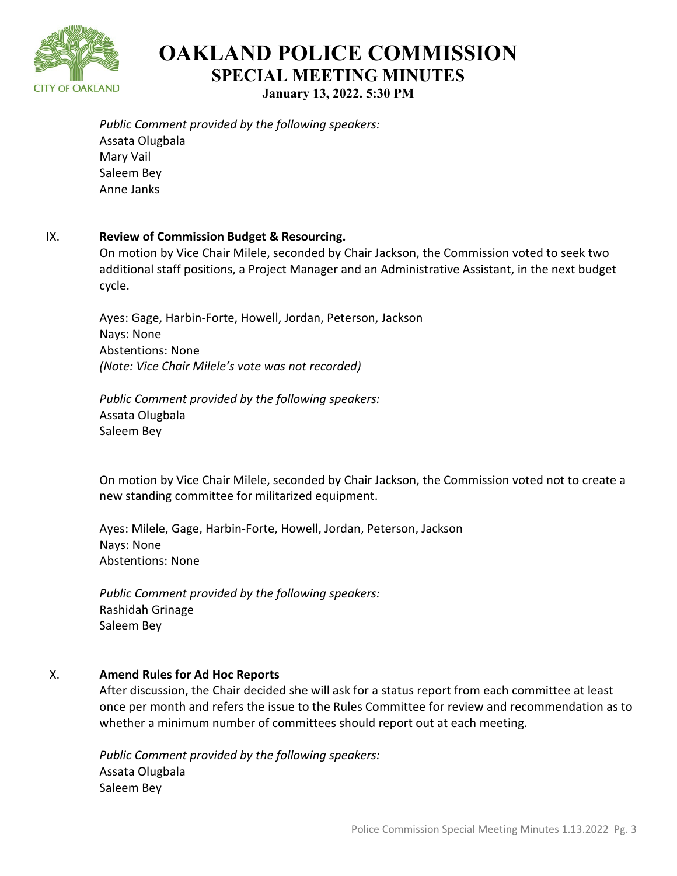

**OAKLAND POLICE COMMISSION SPECIAL MEETING MINUTES January 13, 2022. 5:30 PM**

*Public Comment provided by the following speakers:*  Assata Olugbala Mary Vail Saleem Bey Anne Janks

#### IX. **Review of Commission Budget & Resourcing.**

On motion by Vice Chair Milele, seconded by Chair Jackson, the Commission voted to seek two additional staff positions, a Project Manager and an Administrative Assistant, in the next budget cycle.

Ayes: Gage, Harbin-Forte, Howell, Jordan, Peterson, Jackson Nays: None Abstentions: None *(Note: Vice Chair Milele's vote was not recorded)*

*Public Comment provided by the following speakers:*  Assata Olugbala Saleem Bey

On motion by Vice Chair Milele, seconded by Chair Jackson, the Commission voted not to create a new standing committee for militarized equipment.

Ayes: Milele, Gage, Harbin-Forte, Howell, Jordan, Peterson, Jackson Nays: None Abstentions: None

*Public Comment provided by the following speakers:*  Rashidah Grinage Saleem Bey

## X. **Amend Rules for Ad Hoc Reports**

After discussion, the Chair decided she will ask for a status report from each committee at least once per month and refers the issue to the Rules Committee for review and recommendation as to whether a minimum number of committees should report out at each meeting.

*Public Comment provided by the following speakers:*  Assata Olugbala Saleem Bey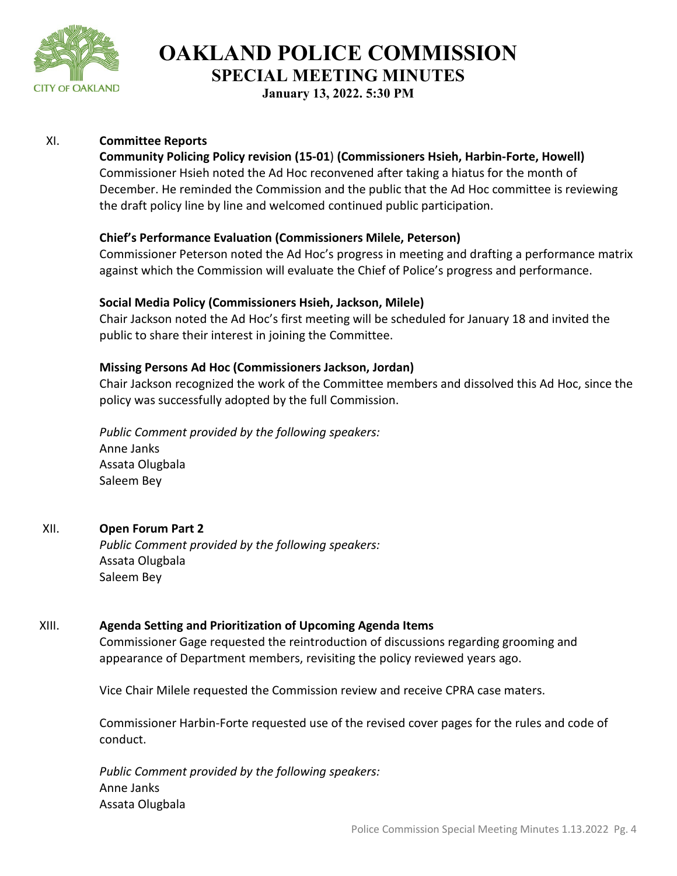

**OAKLAND POLICE COMMISSION SPECIAL MEETING MINUTES**

**January 13, 2022. 5:30 PM**

### XI. **Committee Reports**

#### **Community Policing Policy revision (15-01**) **(Commissioners Hsieh, Harbin-Forte, Howell)**

Commissioner Hsieh noted the Ad Hoc reconvened after taking a hiatus for the month of December. He reminded the Commission and the public that the Ad Hoc committee is reviewing the draft policy line by line and welcomed continued public participation.

### **Chief's Performance Evaluation (Commissioners Milele, Peterson)**

Commissioner Peterson noted the Ad Hoc's progress in meeting and drafting a performance matrix against which the Commission will evaluate the Chief of Police's progress and performance.

#### **Social Media Policy (Commissioners Hsieh, Jackson, Milele)**

Chair Jackson noted the Ad Hoc's first meeting will be scheduled for January 18 and invited the public to share their interest in joining the Committee.

#### **Missing Persons Ad Hoc (Commissioners Jackson, Jordan)**

Chair Jackson recognized the work of the Committee members and dissolved this Ad Hoc, since the policy was successfully adopted by the full Commission.

*Public Comment provided by the following speakers:*  Anne Janks Assata Olugbala Saleem Bey

## XII. **Open Forum Part 2**

*Public Comment provided by the following speakers:*  Assata Olugbala Saleem Bey

## XIII. **Agenda Setting and Prioritization of Upcoming Agenda Items**

Commissioner Gage requested the reintroduction of discussions regarding grooming and appearance of Department members, revisiting the policy reviewed years ago.

Vice Chair Milele requested the Commission review and receive CPRA case maters.

Commissioner Harbin-Forte requested use of the revised cover pages for the rules and code of conduct.

*Public Comment provided by the following speakers:*  Anne Janks Assata Olugbala